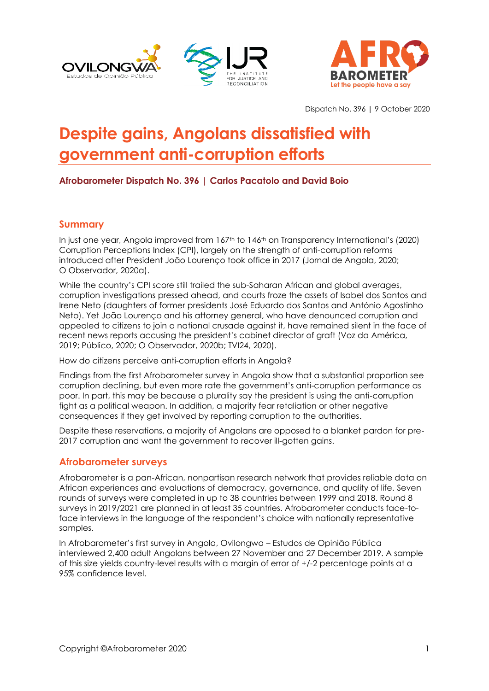



Dispatch No. 396 | 9 October 2020

# **Despite gains, Angolans dissatisfied with government anti-corruption efforts**

# **Afrobarometer Dispatch No. 396 | Carlos Pacatolo and David Boio**

#### **Summary**

In just one year, Angola improved from  $167<sup>th</sup>$  to  $146<sup>th</sup>$  on Transparency International's (2020) Corruption Perceptions Index (CPI), largely on the strength of anti-corruption reforms introduced after President João Lourenço took office in 2017 (Jornal de Angola, 2020; O Observador, 2020a).

While the country's CPI score still trailed the sub-Saharan African and alobal averages, corruption investigations pressed ahead, and courts froze the assets of Isabel dos Santos and Irene Neto (daughters of former presidents José Eduardo dos Santos and António Agostinho Neto). Yet João Lourenço and his attorney general, who have denounced corruption and appealed to citizens to join a national crusade against it, have remained silent in the face of recent news reports accusing the president's cabinet director of graft (Voz da América, 2019; Público, 2020; O Observador, 2020b; TVI24, 2020).

How do citizens perceive anti-corruption efforts in Angola?

Findings from the first Afrobarometer survey in Angola show that a substantial proportion see corruption declining, but even more rate the government's anti-corruption performance as poor. In part, this may be because a plurality say the president is using the anti-corruption fight as a political weapon. In addition, a majority fear retaliation or other negative consequences if they get involved by reporting corruption to the authorities.

Despite these reservations, a majority of Angolans are opposed to a blanket pardon for pre-2017 corruption and want the government to recover ill-gotten gains.

#### **Afrobarometer surveys**

Afrobarometer is a pan-African, nonpartisan research network that provides reliable data on African experiences and evaluations of democracy, governance, and quality of life. Seven rounds of surveys were completed in up to 38 countries between 1999 and 2018. Round 8 surveys in 2019/2021 are planned in at least 35 countries. Afrobarometer conducts face-toface interviews in the language of the respondent's choice with nationally representative samples.

In Afrobarometer's first survey in Angola, Ovilongwa – Estudos de Opinião Pública interviewed 2,400 adult Angolans between 27 November and 27 December 2019. A sample of this size yields country-level results with a margin of error of +/-2 percentage points at a 95% confidence level.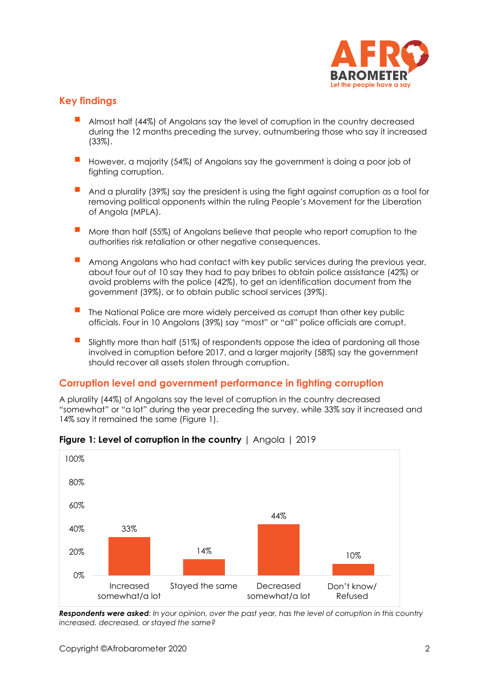

# **Key findings**

- Almost half (44%) of Angolans say the level of corruption in the country decreased during the 12 months preceding the survey, outnumbering those who say it increased (33%).
- However, a majority (54%) of Angolans say the government is doing a poor job of fighting corruption.
- And a plurality (39%) say the president is using the fight against corruption as a tool for removing political opponents within the ruling People's Movement for the Liberation of Angola (MPLA).
- More than half (55%) of Angolans believe that people who report corruption to the authorities risk retaliation or other negative consequences.
- Among Angolans who had contact with key public services during the previous year, about four out of 10 say they had to pay bribes to obtain police assistance (42%) or avoid problems with the police (42%), to get an identification document from the government (39%), or to obtain public school services (39%).
- The National Police are more widely perceived as corrupt than other key public officials. Four in 10 Angolans (39%) say "most" or "all" police officials are corrupt.
- Slightly more than half (51%) of respondents oppose the idea of pardoning all those involved in corruption before 2017, and a larger majority (58%) say the government should recover all assets stolen through corruption.

# **Corruption level and government performance in fighting corruption**

A plurality (44%) of Angolans say the level of corruption in the country decreased "somewhat" or "a lot" during the year preceding the survey, while 33% say it increased and 14% say it remained the same (Figure 1).



#### **Figure 1: Level of corruption in the country** | Angola | 2019

*Respondents were asked: In your opinion, over the past year, has the level of corruption in this country increased, decreased, or stayed the same?*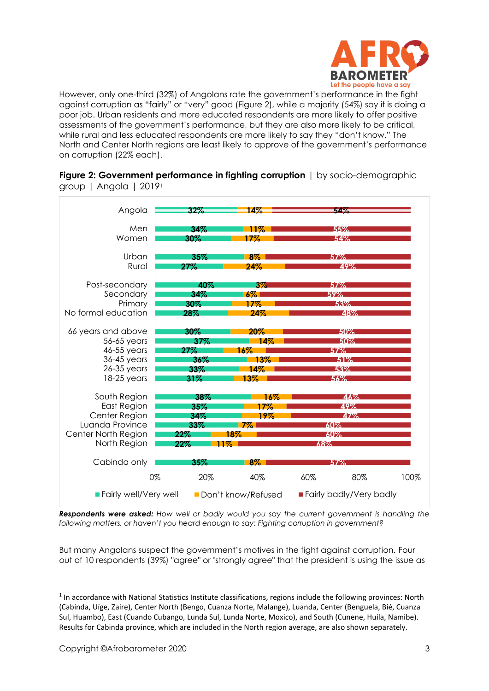

However, only one-third (32%) of Angolans rate the government's performance in the fight against corruption as "fairly" or "very" good (Figure 2), while a majority (54%) say it is doing a poor job. Urban residents and more educated respondents are more likely to offer positive assessments of the government's performance, but they are also more likely to be critical, while rural and less educated respondents are more likely to say they "don't know." The North and Center North regions are least likely to approve of the government's performance on corruption (22% each).

| Angola                       | رسود      | 14%                |     | 57.77                   |      |  |
|------------------------------|-----------|--------------------|-----|-------------------------|------|--|
| Men                          | 34%       | 11%                |     | 55%                     |      |  |
| Women                        | 30%       | 17%                |     | 54%                     |      |  |
| Urban                        | 35%       | $8\%$              |     | 57%                     |      |  |
| Rural                        | $27\%$    | 24%                |     | 49%                     |      |  |
| Post-secondary               | 40%       | $3\%$              |     | 57%                     |      |  |
| Secondary                    | 34%       | $6\%$              |     | $59\%$                  |      |  |
| Primary                      | 30%       | $17\%$             |     | 53%                     |      |  |
| No formal education          | 28%       | 24%                |     | 48%                     |      |  |
| 66 years and above           | 30%       | 20%                |     | 50%                     |      |  |
| 56-65 years                  | $37\%$    | 14%                |     | 50%                     |      |  |
| 46-55 years                  | 27%       | 16%                |     | 57%                     |      |  |
| 36-45 years                  | $36\%$    | 13%                |     | 51%                     |      |  |
| $26-35$ years                | 33%       | 14%                |     | 53%                     |      |  |
| $18-25$ years                | 31%       | 13%                |     | 56%                     |      |  |
| South Region                 | 38%       |                    | 16% | 46%                     |      |  |
| East Region                  | 35%       | 17%                |     | 49%                     |      |  |
| Center Region                | 34%       | 19%                |     | 47%                     |      |  |
| Luanda Province              | 33%       | $7\%$              |     | 60%                     |      |  |
| Center North Region          | $22\%$    | 18%                |     | $60\%$                  |      |  |
| North Region                 | 22%       | 11%                | 68% |                         |      |  |
|                              |           |                    |     |                         |      |  |
| Cabinda only                 | 35%       | 8%                 |     | 57%                     |      |  |
|                              | 20%<br>0% | 40%                | 60% | 80%                     | 100% |  |
| <b>Fairly well/Very well</b> |           | Don't know/Refused |     | Fairly badly/Very badly |      |  |

**Figure 2: Government performance in fighting corruption** | by socio-demographic group | Angola | 2019<sup>1</sup>

*Respondents were asked: How well or badly would you say the current government is handling the following matters, or haven't you heard enough to say: Fighting corruption in government?*

But many Angolans suspect the government's motives in the fight against corruption. Four out of 10 respondents (39%) "agree" or "strongly agree" that the president is using the issue as

<sup>&</sup>lt;sup>1</sup> In accordance with National Statistics Institute classifications, regions include the following provinces: North (Cabinda, Uíge, Zaire), Center North (Bengo, Cuanza Norte, Malange), Luanda, Center (Benguela, Bié, Cuanza Sul, Huambo), East (Cuando Cubango, Lunda Sul, Lunda Norte, Moxico), and South (Cunene, Huíla, Namibe). Results for Cabinda province, which are included in the North region average, are also shown separately.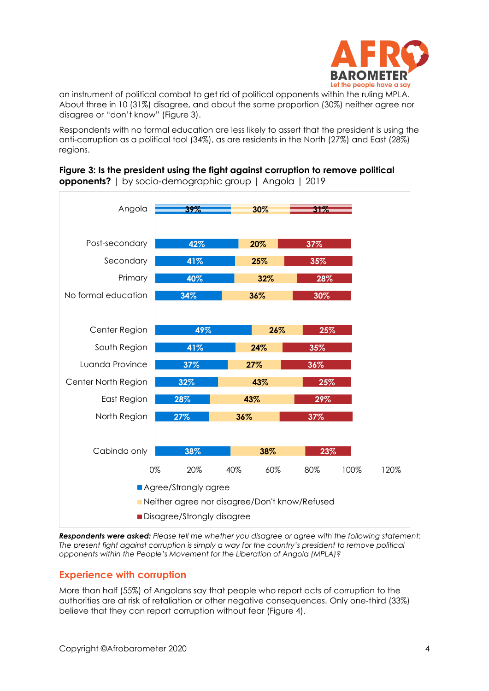

an instrument of political combat to get rid of political opponents within the ruling MPLA. About three in 10 (31%) disagree, and about the same proportion (30%) neither agree nor disagree or "don't know" (Figure 3).

Respondents with no formal education are less likely to assert that the president is using the anti-corruption as a political tool (34%), as are residents in the North (27%) and East (28%) regions.

# **Figure 3: Is the president using the fight against corruption to remove political opponents?** | by socio-demographic group | Angola | 2019



*Respondents were asked: Please tell me whether you disagree or agree with the following statement: The present fight against corruption is simply a way for the country's president to remove political opponents within the People's Movement for the Liberation of Angola (MPLA)?*

# **Experience with corruption**

More than half (55%) of Angolans say that people who report acts of corruption to the authorities are at risk of retaliation or other negative consequences. Only one-third (33%) believe that they can report corruption without fear (Figure 4).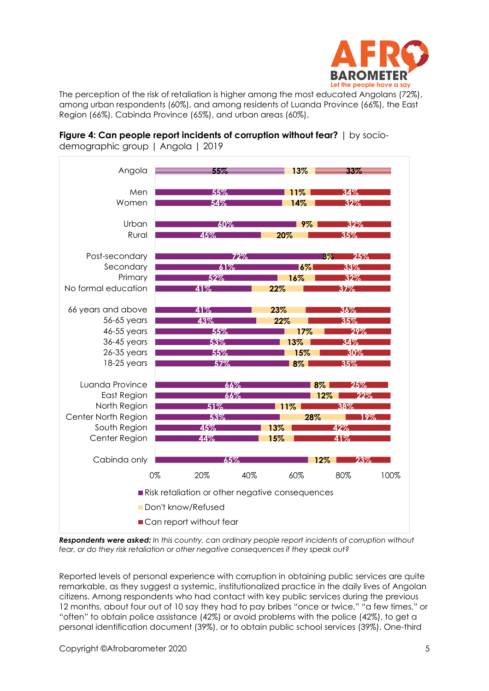

The perception of the risk of retaliation is higher among the most educated Angolans (72%), among urban respondents (60%), and among residents of Luanda Province (66%), the East Region (66%), Cabinda Province (65%), and urban areas (60%).



**Figure 4: Can people report incidents of corruption without fear?** | by sociodemographic group | Angola | 2019

*Respondents were asked: In this country, can ordinary people report incidents of corruption without fear, or do they risk retaliation or other negative consequences if they speak out?*

Reported levels of personal experience with corruption in obtaining public services are quite remarkable, as they suggest a systemic, institutionalized practice in the daily lives of Angolan citizens. Among respondents who had contact with key public services during the previous 12 months, about four out of 10 say they had to pay bribes "once or twice," "a few times," or "often" to obtain police assistance (42%) or avoid problems with the police (42%), to get a personal identification document (39%), or to obtain public school services (39%). One-third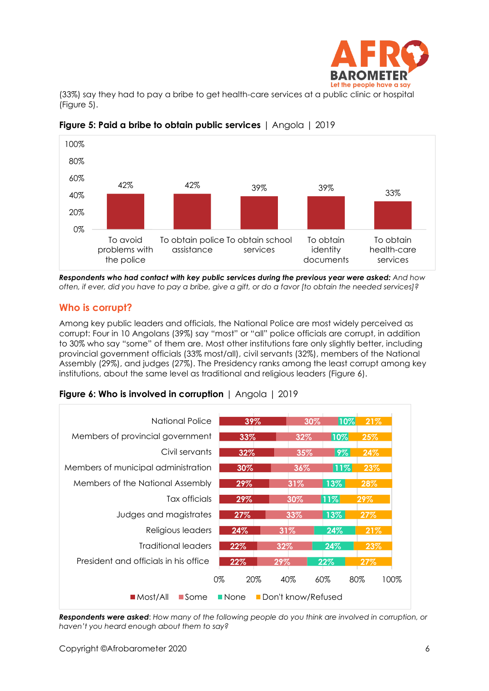

(33%) say they had to pay a bribe to get health-care services at a public clinic or hospital (Figure 5).



# **Figure 5: Paid a bribe to obtain public services** | Angola | 2019

*Respondents who had contact with key public services during the previous year were asked: And how often, if ever, did you have to pay a bribe, give a gift, or do a favor [to obtain the needed services]?*

#### **Who is corrupt?**

Among key public leaders and officials, the National Police are most widely perceived as corrupt: Four in 10 Angolans (39%) say "most" or "all" police officials are corrupt, in addition to 30% who say "some" of them are. Most other institutions fare only slightly better, including provincial government officials (33% most/all), civil servants (32%), members of the National Assembly (29%), and judges (27%). The Presidency ranks among the least corrupt among key institutions, about the same level as traditional and religious leaders (Figure 6).

#### **Figure 6: Who is involved in corruption** | Angola | 2019



*Respondents were asked*: *How many of the following people do you think are involved in corruption, or haven't you heard enough about them to say?*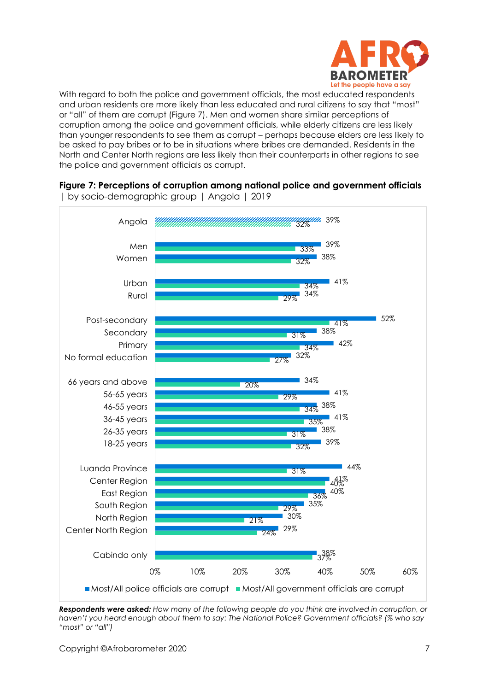

With regard to both the police and government officials, the most educated respondents and urban residents are more likely than less educated and rural citizens to say that "most" or "all" of them are corrupt (Figure 7). Men and women share similar perceptions of corruption among the police and government officials, while elderly citizens are less likely than younger respondents to see them as corrupt – perhaps because elders are less likely to be asked to pay bribes or to be in situations where bribes are demanded. Residents in the North and Center North regions are less likely than their counterparts in other regions to see the police and government officials as corrupt.



**Figure 7: Perceptions of corruption among national police and government officials** | by socio-demographic group | Angola | 2019

*Respondents were asked: How many of the following people do you think are involved in corruption, or haven't you heard enough about them to say: The National Police? Government officials? (% who say "most" or "all")*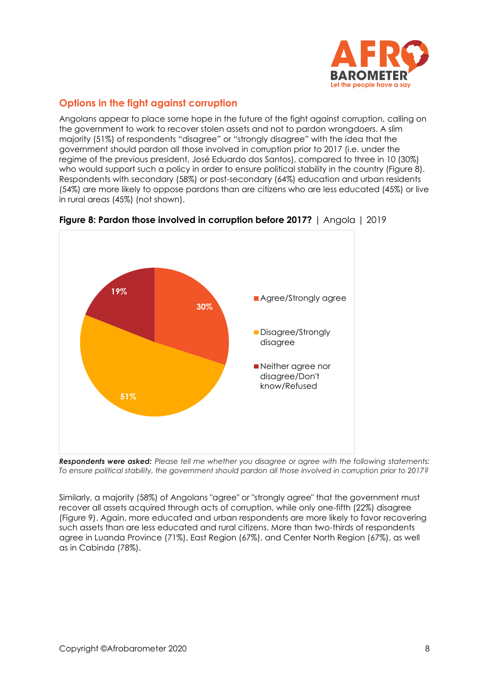

# **Options in the fight against corruption**

Angolans appear to place some hope in the future of the fight against corruption, calling on the government to work to recover stolen assets and not to pardon wrongdoers. A slim majority (51%) of respondents "disagree" or "strongly disagree" with the idea that the government should pardon all those involved in corruption prior to 2017 (i.e. under the regime of the previous president, José Eduardo dos Santos), compared to three in 10 (30%) who would support such a policy in order to ensure political stability in the country (Figure 8). Respondents with secondary (58%) or post-secondary (64%) education and urban residents (54%) are more likely to oppose pardons than are citizens who are less educated (45%) or live in rural areas (45%) (not shown).



**Figure 8: Pardon those involved in corruption before 2017?** | Angola | 2019

*Respondents were asked: Please tell me whether you disagree or agree with the following statements: To ensure political stability, the government should pardon all those involved in corruption prior to 2017?*

Similarly, a majority (58%) of Angolans "agree" or "strongly agree" that the government must recover all assets acquired through acts of corruption, while only one-fifth (22%) disagree (Figure 9). Again, more educated and urban respondents are more likely to favor recovering such assets than are less educated and rural citizens. More than two-thirds of respondents agree in Luanda Province (71%), East Region (67%), and Center North Region (67%), as well as in Cabinda (78%).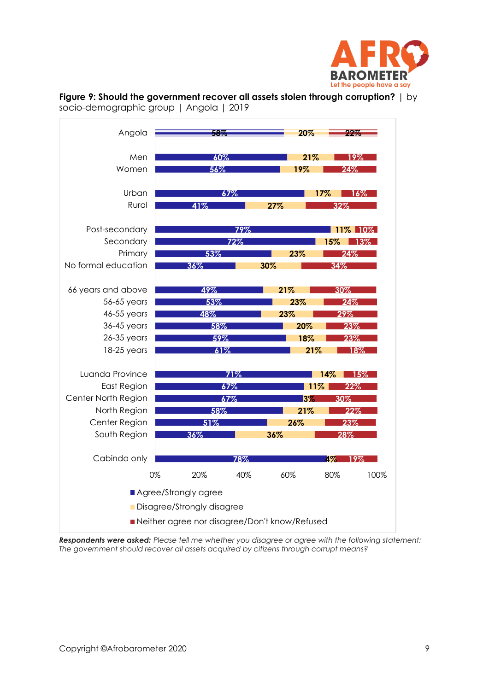





*Respondents were asked: Please tell me whether you disagree or agree with the following statement: The government should recover all assets acquired by citizens through corrupt means?*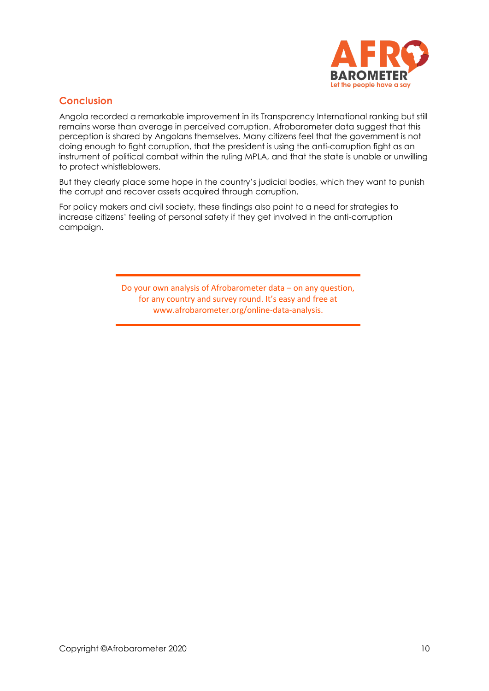

# **Conclusion**

Angola recorded a remarkable improvement in its Transparency International ranking but still remains worse than average in perceived corruption. Afrobarometer data suggest that this perception is shared by Angolans themselves. Many citizens feel that the government is not doing enough to fight corruption, that the president is using the anti-corruption fight as an instrument of political combat within the ruling MPLA, and that the state is unable or unwilling to protect whistleblowers.

But they clearly place some hope in the country's judicial bodies, which they want to punish the corrupt and recover assets acquired through corruption.

For policy makers and civil society, these findings also point to a need for strategies to increase citizens' feeling of personal safety if they get involved in the anti-corruption campaign.

> Do your own analysis of Afrobarometer data – on any question, for any country and survey round. It's easy and free at www.afrobarometer.org/online-data-analysis.